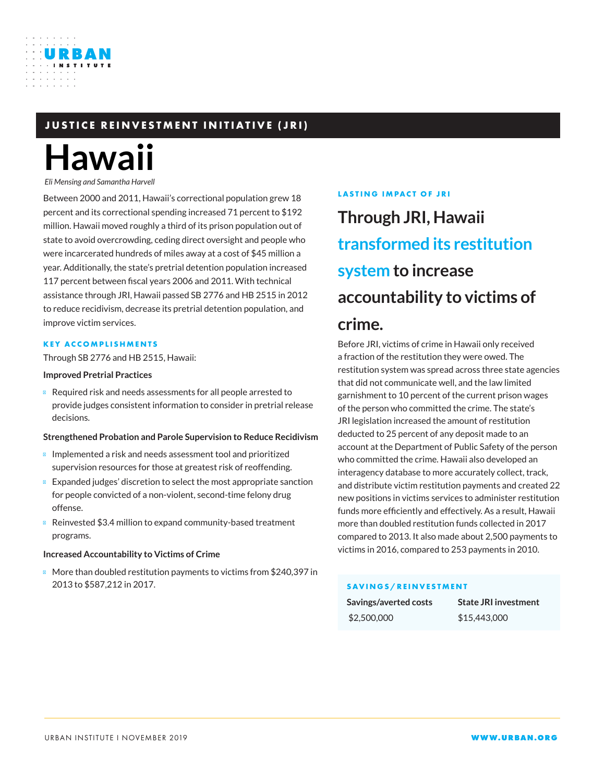### **JUSTICE REINVESTMENT INITIATIVE (JRI)**

# **Hawaii**

URBAN

*Eli Mensing and Samantha Harvell*

Between 2000 and 2011, Hawaii's correctional population grew 18 percent and its correctional spending increased 71 percent to \$192 million. Hawaii moved roughly a third of its prison population out of state to avoid overcrowding, ceding direct oversight and people who were incarcerated hundreds of miles away at a cost of \$45 million a year. Additionally, the state's pretrial detention population increased 117 percent between fiscal years 2006 and 2011. With technical assistance through JRI, Hawaii passed SB 2776 and HB 2515 in 2012 to reduce recidivism, decrease its pretrial detention population, and improve victim services.

### **KEY ACCOMPLISHMENTS**

Through SB 2776 and HB 2515, Hawaii:

#### **Improved Pretrial Practices**

Required risk and needs assessments for all people arrested to provide judges consistent information to consider in pretrial release decisions.

### **Strengthened Probation and Parole Supervision to Reduce Recidivism**

Implemented a risk and needs assessment tool and prioritized supervision resources for those at greatest risk of reoffending.

Expanded judges' discretion to select the most appropriate sanction for people convicted of a non-violent, second-time felony drug offense.

Reinvested \$3.4 million to expand community-based treatment programs.

### **Increased Accountability to Victims of Crime**

More than doubled restitution payments to victims from \$240,397 in 2013 to \$587,212 in 2017.

### **LASTING IMPACT OF JRI**

# **Through JRI, Hawaii transformed its restitution system to increase accountability to victims of crime.**

Before JRI, victims of crime in Hawaii only received a fraction of the restitution they were owed. The restitution system was spread across three state agencies that did not communicate well, and the law limited garnishment to 10 percent of the current prison wages of the person who committed the crime. The state's JRI legislation increased the amount of restitution deducted to 25 percent of any deposit made to an account at the Department of Public Safety of the person who committed the crime. Hawaii also developed an interagency database to more accurately collect, track, and distribute victim restitution payments and created 22 new positions in victims services to administer restitution funds more efficiently and effectively. As a result, Hawaii more than doubled restitution funds collected in 2017 compared to 2013. It also made about 2,500 payments to victims in 2016, compared to 253 payments in 2010.

### **SAVINGS/REINVESTMENT**

| Savings/averted costs | <b>State JRI investment</b> |
|-----------------------|-----------------------------|
| \$2,500,000           | \$15,443,000                |